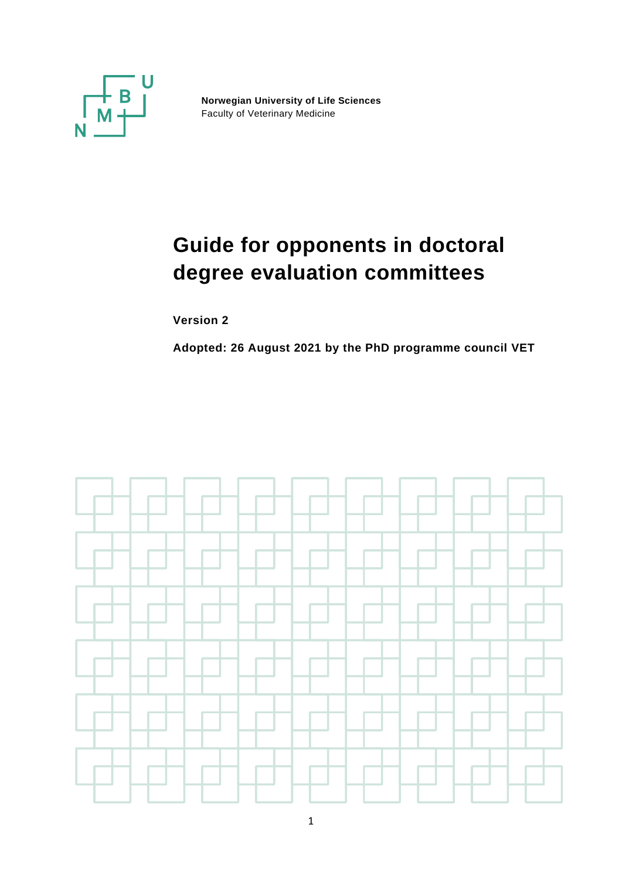

**Norwegian University of Life Sciences** Faculty of Veterinary Medicine

# **Guide for opponents in doctoral degree evaluation committees**

**Version 2**

**Adopted: 26 August 2021 by the PhD programme council VET**

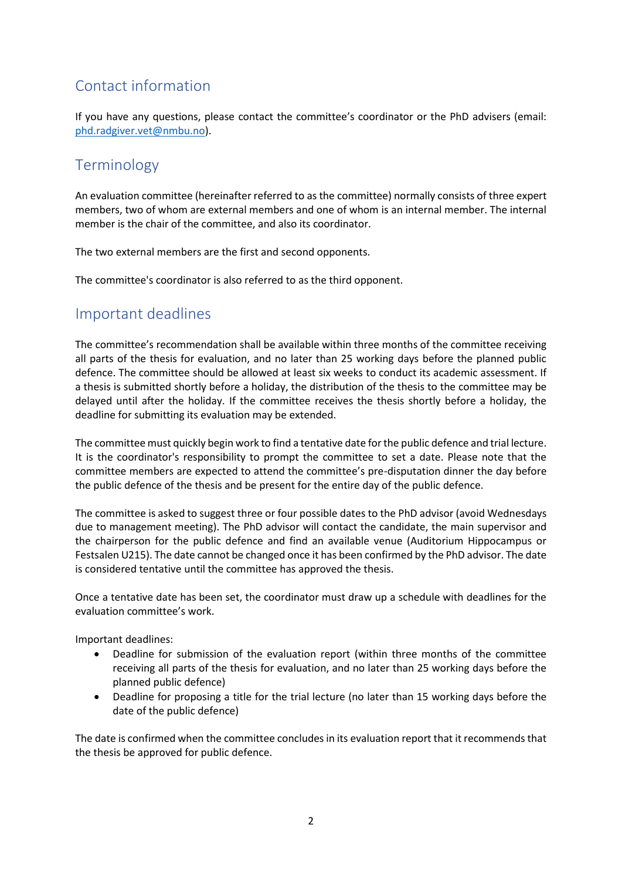# Contact information

If you have any questions, please contact the committee's coordinator or the PhD advisers (email: [phd.radgiver.vet@nmbu.no\)](mailto:phd.radgiver.vet@nmbu.no).

# Terminology

An evaluation committee (hereinafter referred to as the committee) normally consists of three expert members, two of whom are external members and one of whom is an internal member. The internal member is the chair of the committee, and also its coordinator.

The two external members are the first and second opponents.

The committee's coordinator is also referred to as the third opponent.

# Important deadlines

The committee's recommendation shall be available within three months of the committee receiving all parts of the thesis for evaluation, and no later than 25 working days before the planned public defence. The committee should be allowed at least six weeks to conduct its academic assessment. If a thesis is submitted shortly before a holiday, the distribution of the thesis to the committee may be delayed until after the holiday. If the committee receives the thesis shortly before a holiday, the deadline for submitting its evaluation may be extended.

The committee must quickly begin work to find a tentative date for the public defence and trial lecture. It is the coordinator's responsibility to prompt the committee to set a date. Please note that the committee members are expected to attend the committee's pre-disputation dinner the day before the public defence of the thesis and be present for the entire day of the public defence.

The committee is asked to suggest three or four possible dates to the PhD advisor (avoid Wednesdays due to management meeting). The PhD advisor will contact the candidate, the main supervisor and the chairperson for the public defence and find an available venue (Auditorium Hippocampus or Festsalen U215). The date cannot be changed once it has been confirmed by the PhD advisor. The date is considered tentative until the committee has approved the thesis.

Once a tentative date has been set, the coordinator must draw up a schedule with deadlines for the evaluation committee's work.

Important deadlines:

- Deadline for submission of the evaluation report (within three months of the committee receiving all parts of the thesis for evaluation, and no later than 25 working days before the planned public defence)
- Deadline for proposing a title for the trial lecture (no later than 15 working days before the date of the public defence)

The date is confirmed when the committee concludes in its evaluation report that it recommends that the thesis be approved for public defence.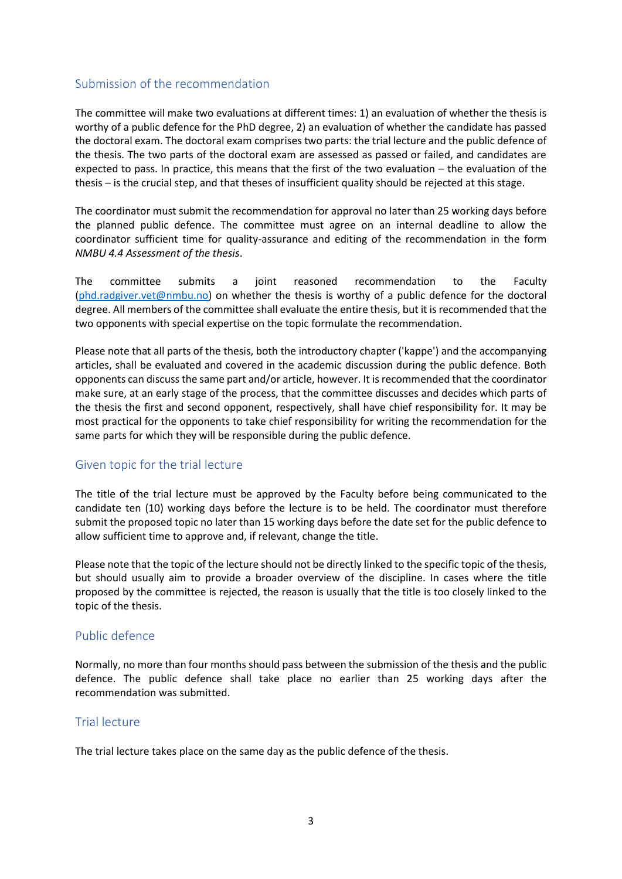#### Submission of the recommendation

The committee will make two evaluations at different times: 1) an evaluation of whether the thesis is worthy of a public defence for the PhD degree, 2) an evaluation of whether the candidate has passed the doctoral exam. The doctoral exam comprises two parts: the trial lecture and the public defence of the thesis. The two parts of the doctoral exam are assessed as passed or failed, and candidates are expected to pass. In practice, this means that the first of the two evaluation – the evaluation of the thesis – is the crucial step, and that theses of insufficient quality should be rejected at this stage.

The coordinator must submit the recommendation for approval no later than 25 working days before the planned public defence. The committee must agree on an internal deadline to allow the coordinator sufficient time for quality-assurance and editing of the recommendation in the form *NMBU 4.4 Assessment of the thesis*.

The committee submits a joint reasoned recommendation to the Faculty  $(phd.radgiver.vet@nmbu.no)$  on whether the thesis is worthy of a public defence for the doctoral degree. All members of the committee shall evaluate the entire thesis, but it is recommended that the two opponents with special expertise on the topic formulate the recommendation.

Please note that all parts of the thesis, both the introductory chapter ('kappe') and the accompanying articles, shall be evaluated and covered in the academic discussion during the public defence. Both opponents can discuss the same part and/or article, however. It is recommended that the coordinator make sure, at an early stage of the process, that the committee discusses and decides which parts of the thesis the first and second opponent, respectively, shall have chief responsibility for. It may be most practical for the opponents to take chief responsibility for writing the recommendation for the same parts for which they will be responsible during the public defence.

#### Given topic for the trial lecture

The title of the trial lecture must be approved by the Faculty before being communicated to the candidate ten (10) working days before the lecture is to be held. The coordinator must therefore submit the proposed topic no later than 15 working days before the date set for the public defence to allow sufficient time to approve and, if relevant, change the title.

Please note that the topic of the lecture should not be directly linked to the specific topic of the thesis, but should usually aim to provide a broader overview of the discipline. In cases where the title proposed by the committee is rejected, the reason is usually that the title is too closely linked to the topic of the thesis.

#### Public defence

Normally, no more than four months should pass between the submission of the thesis and the public defence. The public defence shall take place no earlier than 25 working days after the recommendation was submitted.

#### Trial lecture

The trial lecture takes place on the same day as the public defence of the thesis.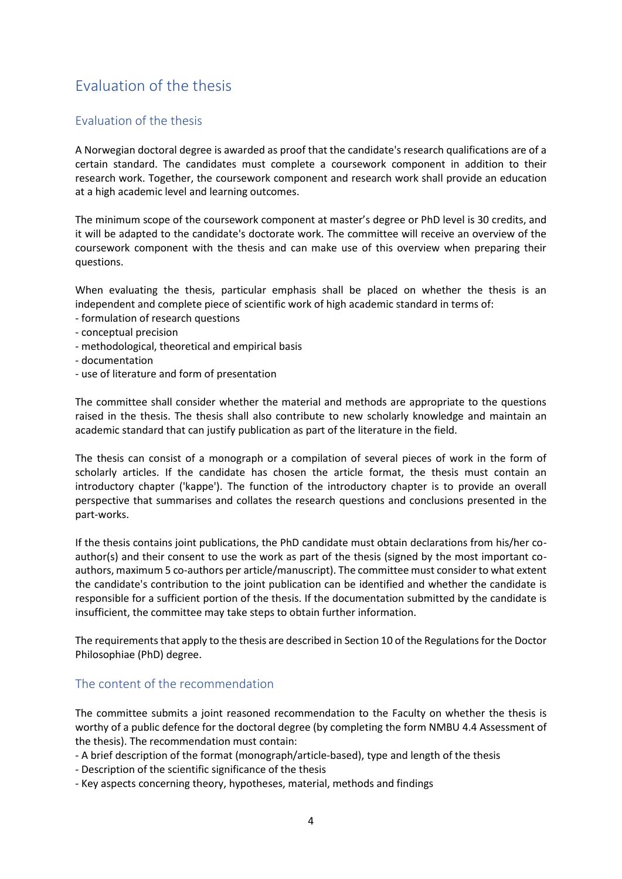# Evaluation of the thesis

#### Evaluation of the thesis

A Norwegian doctoral degree is awarded as proof that the candidate's research qualifications are of a certain standard. The candidates must complete a coursework component in addition to their research work. Together, the coursework component and research work shall provide an education at a high academic level and learning outcomes.

The minimum scope of the coursework component at master's degree or PhD level is 30 credits, and it will be adapted to the candidate's doctorate work. The committee will receive an overview of the coursework component with the thesis and can make use of this overview when preparing their questions.

When evaluating the thesis, particular emphasis shall be placed on whether the thesis is an independent and complete piece of scientific work of high academic standard in terms of:

- formulation of research questions
- conceptual precision
- methodological, theoretical and empirical basis
- documentation
- use of literature and form of presentation

The committee shall consider whether the material and methods are appropriate to the questions raised in the thesis. The thesis shall also contribute to new scholarly knowledge and maintain an academic standard that can justify publication as part of the literature in the field.

The thesis can consist of a monograph or a compilation of several pieces of work in the form of scholarly articles. If the candidate has chosen the article format, the thesis must contain an introductory chapter ('kappe'). The function of the introductory chapter is to provide an overall perspective that summarises and collates the research questions and conclusions presented in the part-works.

If the thesis contains joint publications, the PhD candidate must obtain declarations from his/her coauthor(s) and their consent to use the work as part of the thesis (signed by the most important coauthors, maximum 5 co-authors per article/manuscript). The committee must consider to what extent the candidate's contribution to the joint publication can be identified and whether the candidate is responsible for a sufficient portion of the thesis. If the documentation submitted by the candidate is insufficient, the committee may take steps to obtain further information.

The requirements that apply to the thesis are described in Section 10 of the Regulations for the Doctor Philosophiae (PhD) degree.

#### The content of the recommendation

The committee submits a joint reasoned recommendation to the Faculty on whether the thesis is worthy of a public defence for the doctoral degree (by completing the form NMBU 4.4 Assessment of the thesis). The recommendation must contain:

- A brief description of the format (monograph/article-based), type and length of the thesis

- Description of the scientific significance of the thesis
- Key aspects concerning theory, hypotheses, material, methods and findings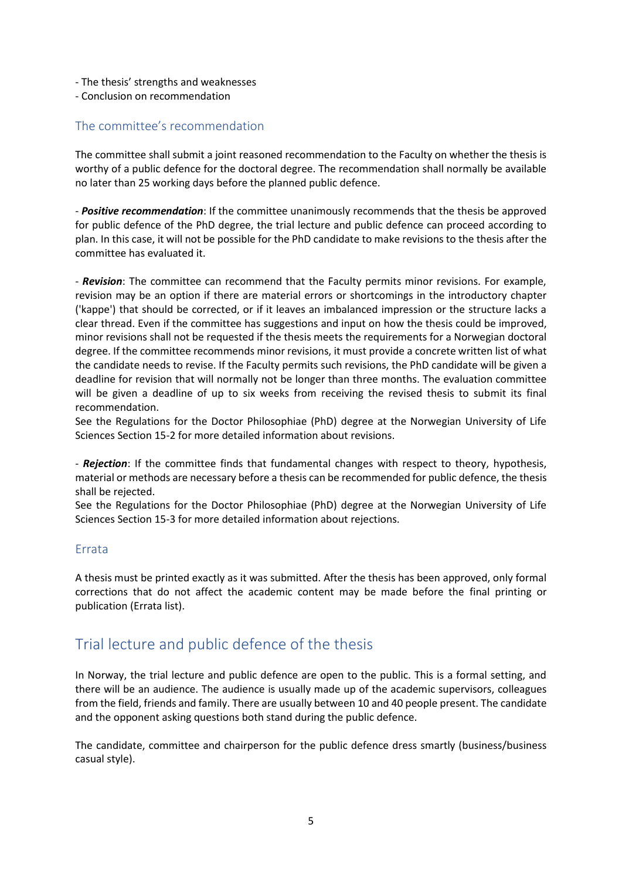- The thesis' strengths and weaknesses
- Conclusion on recommendation

#### The committee's recommendation

The committee shall submit a joint reasoned recommendation to the Faculty on whether the thesis is worthy of a public defence for the doctoral degree. The recommendation shall normally be available no later than 25 working days before the planned public defence.

- *Positive recommendation*: If the committee unanimously recommends that the thesis be approved for public defence of the PhD degree, the trial lecture and public defence can proceed according to plan. In this case, it will not be possible for the PhD candidate to make revisions to the thesis after the committee has evaluated it.

- *Revision*: The committee can recommend that the Faculty permits minor revisions. For example, revision may be an option if there are material errors or shortcomings in the introductory chapter ('kappe') that should be corrected, or if it leaves an imbalanced impression or the structure lacks a clear thread. Even if the committee has suggestions and input on how the thesis could be improved, minor revisions shall not be requested if the thesis meets the requirements for a Norwegian doctoral degree. If the committee recommends minor revisions, it must provide a concrete written list of what the candidate needs to revise. If the Faculty permits such revisions, the PhD candidate will be given a deadline for revision that will normally not be longer than three months. The evaluation committee will be given a deadline of up to six weeks from receiving the revised thesis to submit its final recommendation.

See the Regulations for the Doctor Philosophiae (PhD) degree at the Norwegian University of Life Sciences Section 15-2 for more detailed information about revisions.

- *Rejection*: If the committee finds that fundamental changes with respect to theory, hypothesis, material or methods are necessary before a thesis can be recommended for public defence, the thesis shall be rejected.

See the Regulations for the Doctor Philosophiae (PhD) degree at the Norwegian University of Life Sciences Section 15-3 for more detailed information about rejections.

#### Errata

A thesis must be printed exactly as it was submitted. After the thesis has been approved, only formal corrections that do not affect the academic content may be made before the final printing or publication (Errata list).

# Trial lecture and public defence of the thesis

In Norway, the trial lecture and public defence are open to the public. This is a formal setting, and there will be an audience. The audience is usually made up of the academic supervisors, colleagues from the field, friends and family. There are usually between 10 and 40 people present. The candidate and the opponent asking questions both stand during the public defence.

The candidate, committee and chairperson for the public defence dress smartly (business/business casual style).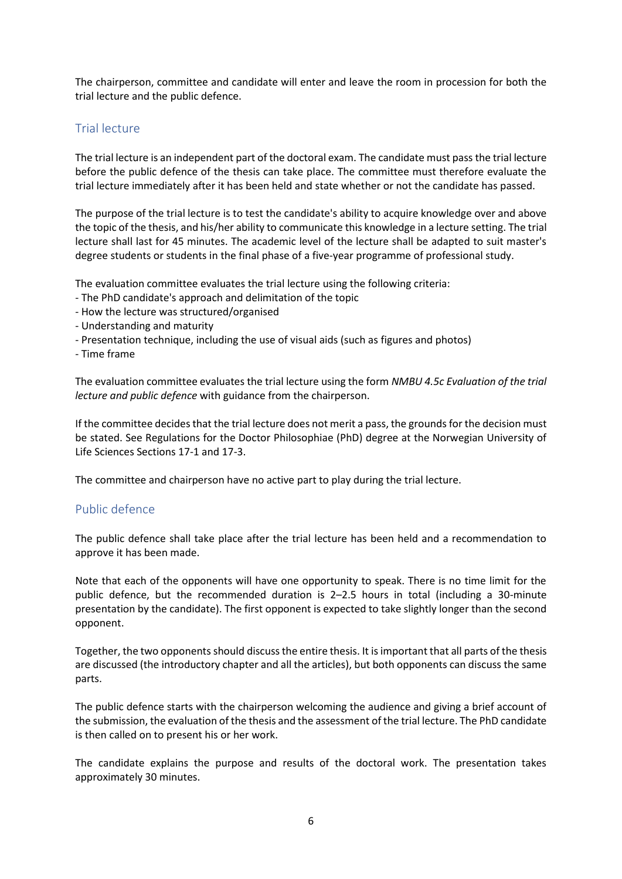The chairperson, committee and candidate will enter and leave the room in procession for both the trial lecture and the public defence.

#### Trial lecture

The trial lecture is an independent part of the doctoral exam. The candidate must pass the trial lecture before the public defence of the thesis can take place. The committee must therefore evaluate the trial lecture immediately after it has been held and state whether or not the candidate has passed.

The purpose of the trial lecture is to test the candidate's ability to acquire knowledge over and above the topic of the thesis, and his/her ability to communicate this knowledge in a lecture setting. The trial lecture shall last for 45 minutes. The academic level of the lecture shall be adapted to suit master's degree students or students in the final phase of a five-year programme of professional study.

The evaluation committee evaluates the trial lecture using the following criteria:

- The PhD candidate's approach and delimitation of the topic
- How the lecture was structured/organised
- Understanding and maturity
- Presentation technique, including the use of visual aids (such as figures and photos)
- Time frame

The evaluation committee evaluates the trial lecture using the form *NMBU 4.5c Evaluation of the trial lecture and public defence* with guidance from the chairperson.

If the committee decides that the trial lecture does not merit a pass, the grounds for the decision must be stated. See Regulations for the Doctor Philosophiae (PhD) degree at the Norwegian University of Life Sciences Sections 17-1 and 17-3.

The committee and chairperson have no active part to play during the trial lecture.

#### Public defence

The public defence shall take place after the trial lecture has been held and a recommendation to approve it has been made.

Note that each of the opponents will have one opportunity to speak. There is no time limit for the public defence, but the recommended duration is 2–2.5 hours in total (including a 30-minute presentation by the candidate). The first opponent is expected to take slightly longer than the second opponent.

Together, the two opponents should discuss the entire thesis. It is important that all parts of the thesis are discussed (the introductory chapter and all the articles), but both opponents can discuss the same parts.

The public defence starts with the chairperson welcoming the audience and giving a brief account of the submission, the evaluation of the thesis and the assessment of the trial lecture. The PhD candidate is then called on to present his or her work.

The candidate explains the purpose and results of the doctoral work. The presentation takes approximately 30 minutes.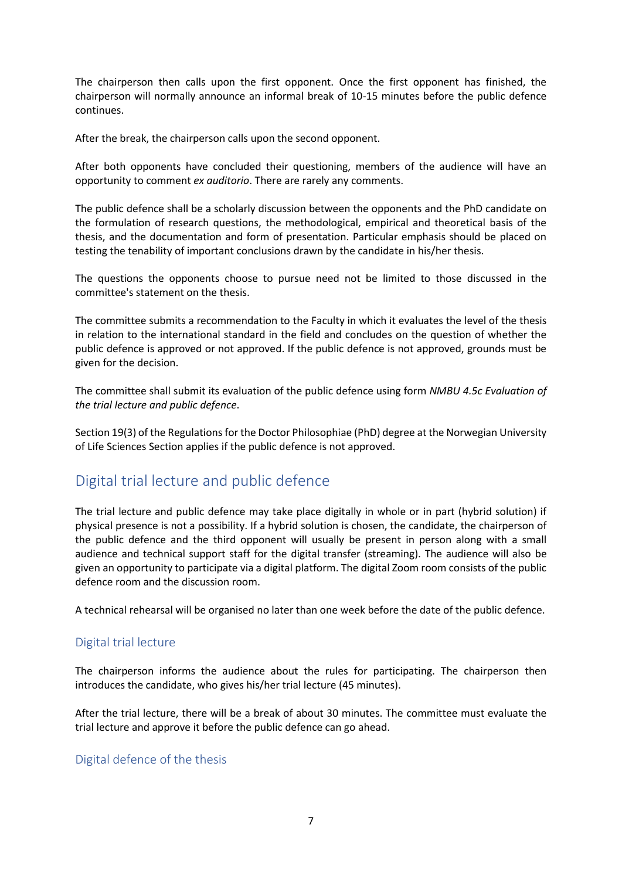The chairperson then calls upon the first opponent. Once the first opponent has finished, the chairperson will normally announce an informal break of 10-15 minutes before the public defence continues.

After the break, the chairperson calls upon the second opponent.

After both opponents have concluded their questioning, members of the audience will have an opportunity to comment *ex auditorio*. There are rarely any comments.

The public defence shall be a scholarly discussion between the opponents and the PhD candidate on the formulation of research questions, the methodological, empirical and theoretical basis of the thesis, and the documentation and form of presentation. Particular emphasis should be placed on testing the tenability of important conclusions drawn by the candidate in his/her thesis.

The questions the opponents choose to pursue need not be limited to those discussed in the committee's statement on the thesis.

The committee submits a recommendation to the Faculty in which it evaluates the level of the thesis in relation to the international standard in the field and concludes on the question of whether the public defence is approved or not approved. If the public defence is not approved, grounds must be given for the decision.

The committee shall submit its evaluation of the public defence using form *NMBU 4.5c Evaluation of the trial lecture and public defence*.

Section 19(3) of the Regulations for the Doctor Philosophiae (PhD) degree at the Norwegian University of Life Sciences Section applies if the public defence is not approved.

# Digital trial lecture and public defence

The trial lecture and public defence may take place digitally in whole or in part (hybrid solution) if physical presence is not a possibility. If a hybrid solution is chosen, the candidate, the chairperson of the public defence and the third opponent will usually be present in person along with a small audience and technical support staff for the digital transfer (streaming). The audience will also be given an opportunity to participate via a digital platform. The digital Zoom room consists of the public defence room and the discussion room.

A technical rehearsal will be organised no later than one week before the date of the public defence.

#### Digital trial lecture

The chairperson informs the audience about the rules for participating. The chairperson then introduces the candidate, who gives his/her trial lecture (45 minutes).

After the trial lecture, there will be a break of about 30 minutes. The committee must evaluate the trial lecture and approve it before the public defence can go ahead.

#### Digital defence of the thesis